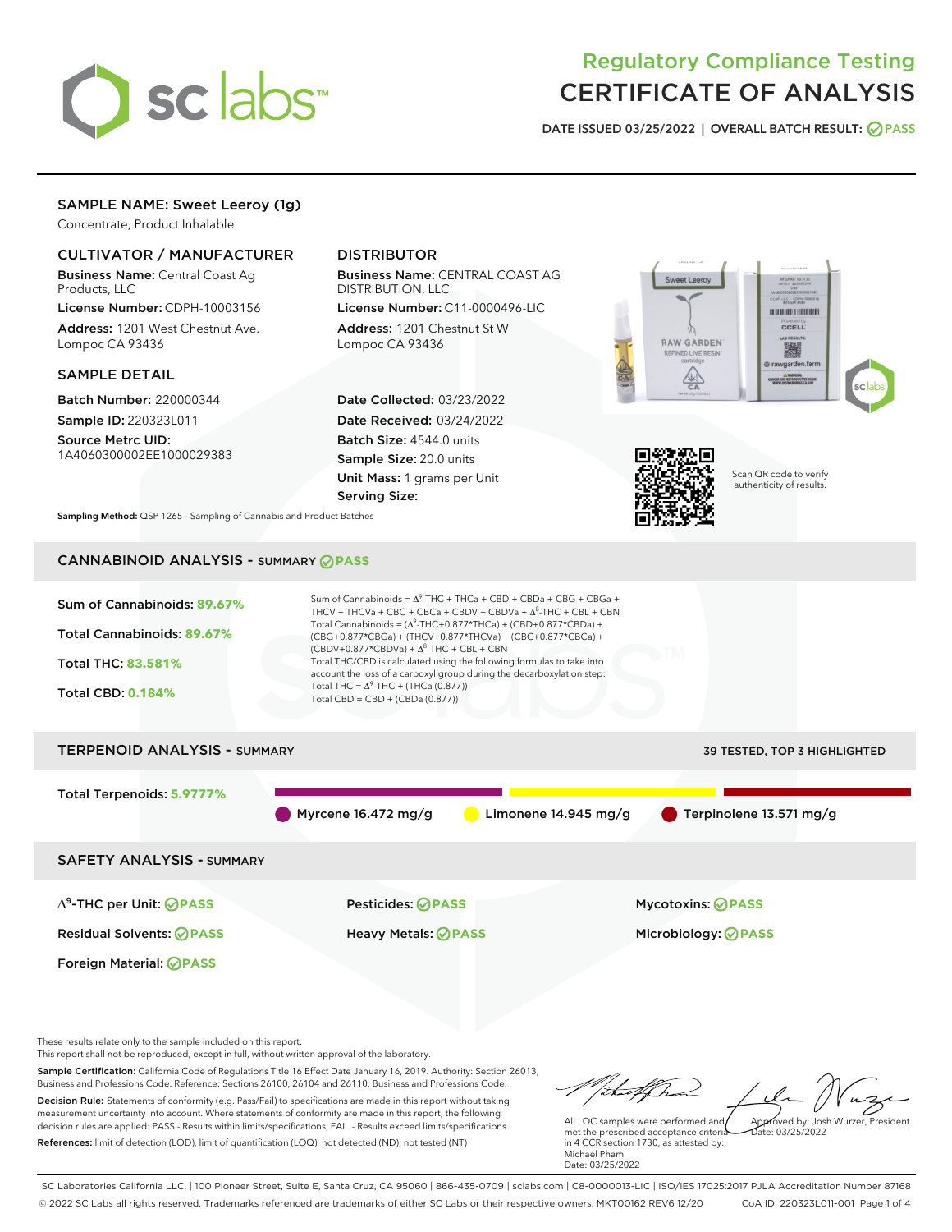

# Regulatory Compliance Testing CERTIFICATE OF ANALYSIS

DATE ISSUED 03/25/2022 | OVERALL BATCH RESULT: @ PASS

# SAMPLE NAME: Sweet Leeroy (1g)

Concentrate, Product Inhalable

# CULTIVATOR / MANUFACTURER

Business Name: Central Coast Ag Products, LLC

License Number: CDPH-10003156 Address: 1201 West Chestnut Ave. Lompoc CA 93436

## SAMPLE DETAIL

Batch Number: 220000344 Sample ID: 220323L011

Source Metrc UID: 1A4060300002EE1000029383

# DISTRIBUTOR

Business Name: CENTRAL COAST AG DISTRIBUTION, LLC

License Number: C11-0000496-LIC Address: 1201 Chestnut St W Lompoc CA 93436

Date Collected: 03/23/2022 Date Received: 03/24/2022 Batch Size: 4544.0 units Sample Size: 20.0 units Unit Mass: 1 grams per Unit Serving Size:





Scan QR code to verify authenticity of results.

Sampling Method: QSP 1265 - Sampling of Cannabis and Product Batches

# CANNABINOID ANALYSIS - SUMMARY **PASS**



These results relate only to the sample included on this report.

This report shall not be reproduced, except in full, without written approval of the laboratory.

Sample Certification: California Code of Regulations Title 16 Effect Date January 16, 2019. Authority: Section 26013, Business and Professions Code. Reference: Sections 26100, 26104 and 26110, Business and Professions Code. Decision Rule: Statements of conformity (e.g. Pass/Fail) to specifications are made in this report without taking measurement uncertainty into account. Where statements of conformity are made in this report, the following decision rules are applied: PASS - Results within limits/specifications, FAIL - Results exceed limits/specifications.

References: limit of detection (LOD), limit of quantification (LOQ), not detected (ND), not tested (NT)

tuff ha Approved by: Josh Wurzer, President

 $ate: 03/25/2022$ 

All LQC samples were performed and met the prescribed acceptance criteria in 4 CCR section 1730, as attested by: Michael Pham Date: 03/25/2022

SC Laboratories California LLC. | 100 Pioneer Street, Suite E, Santa Cruz, CA 95060 | 866-435-0709 | sclabs.com | C8-0000013-LIC | ISO/IES 17025:2017 PJLA Accreditation Number 87168 © 2022 SC Labs all rights reserved. Trademarks referenced are trademarks of either SC Labs or their respective owners. MKT00162 REV6 12/20 CoA ID: 220323L011-001 Page 1 of 4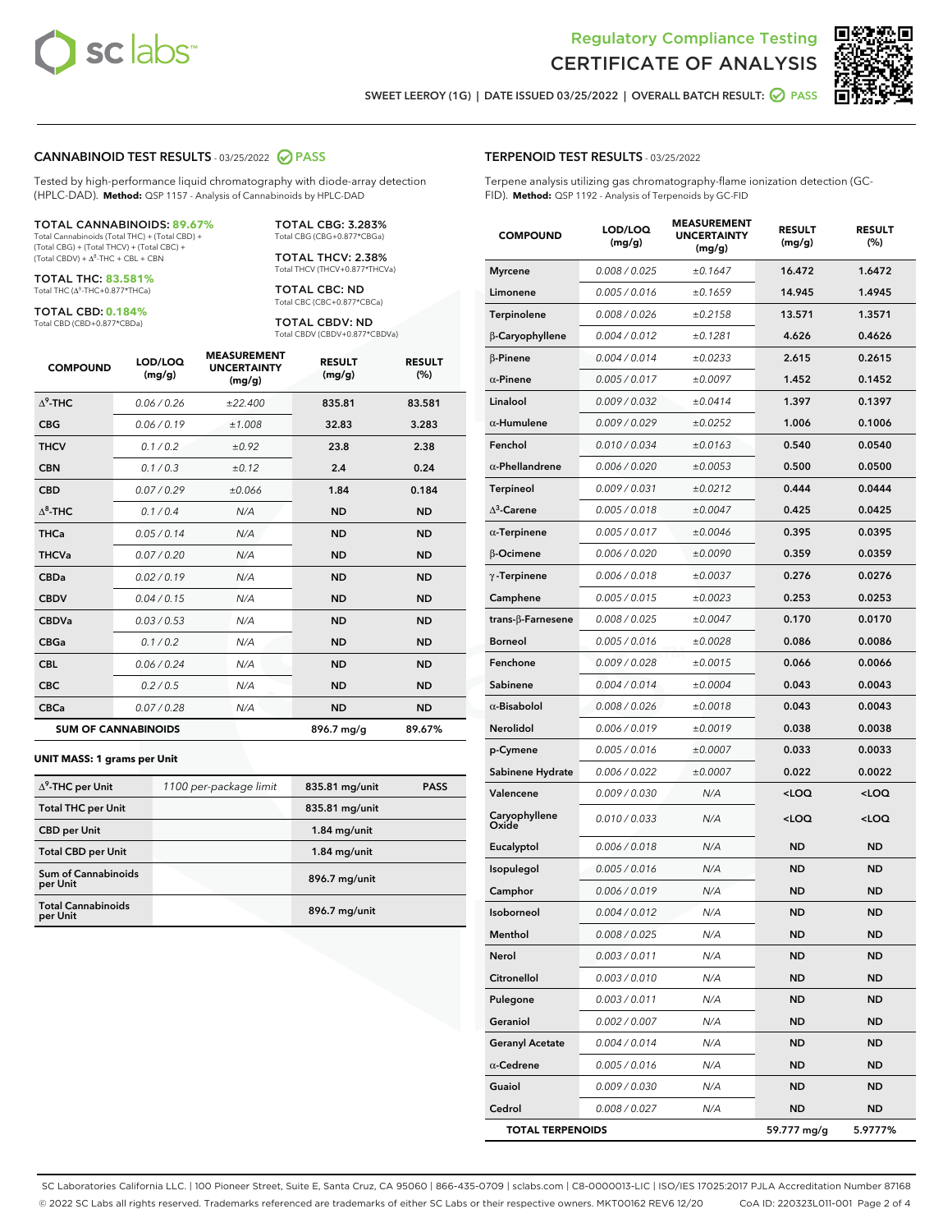



SWEET LEEROY (1G) | DATE ISSUED 03/25/2022 | OVERALL BATCH RESULT: @ PASS

#### CANNABINOID TEST RESULTS - 03/25/2022 2 PASS

Tested by high-performance liquid chromatography with diode-array detection (HPLC-DAD). **Method:** QSP 1157 - Analysis of Cannabinoids by HPLC-DAD

#### TOTAL CANNABINOIDS: **89.67%** Total Cannabinoids (Total THC) + (Total CBD) +

(Total CBG) + (Total THCV) + (Total CBC) +  $(Total CBDV) +  $\Delta^8$ -THC + CBL + CBN$ 

TOTAL THC: **83.581%** Total THC (Δ<sup>9</sup>-THC+0.877\*THCa)

TOTAL CBD: **0.184%**

Total CBD (CBD+0.877\*CBDa)

TOTAL CBG: 3.283% Total CBG (CBG+0.877\*CBGa)

TOTAL THCV: 2.38% Total THCV (THCV+0.877\*THCVa)

TOTAL CBC: ND Total CBC (CBC+0.877\*CBCa)

TOTAL CBDV: ND Total CBDV (CBDV+0.877\*CBDVa)

| <b>COMPOUND</b>  | LOD/LOQ<br>(mg/g)          | <b>MEASUREMENT</b><br><b>UNCERTAINTY</b><br>(mg/g) | <b>RESULT</b><br>(mg/g) | <b>RESULT</b><br>(%) |
|------------------|----------------------------|----------------------------------------------------|-------------------------|----------------------|
| $\Lambda^9$ -THC | 0.06 / 0.26                | ±22.400                                            | 835.81                  | 83.581               |
| <b>CBG</b>       | 0.06/0.19                  | ±1.008                                             | 32.83                   | 3.283                |
| <b>THCV</b>      | 0.1 / 0.2                  | ±0.92                                              | 23.8                    | 2.38                 |
| <b>CBN</b>       | 0.1/0.3                    | ±0.12                                              | 2.4                     | 0.24                 |
| <b>CBD</b>       | 0.07/0.29                  | ±0.066                                             | 1.84                    | 0.184                |
| $\Delta^8$ -THC  | 0.1 / 0.4                  | N/A                                                | <b>ND</b>               | <b>ND</b>            |
| <b>THCa</b>      | 0.05/0.14                  | N/A                                                | <b>ND</b>               | <b>ND</b>            |
| <b>THCVa</b>     | 0.07/0.20                  | N/A                                                | <b>ND</b>               | <b>ND</b>            |
| <b>CBDa</b>      | 0.02 / 0.19                | N/A                                                | <b>ND</b>               | <b>ND</b>            |
| <b>CBDV</b>      | 0.04 / 0.15                | N/A                                                | <b>ND</b>               | <b>ND</b>            |
| <b>CBDVa</b>     | 0.03/0.53                  | N/A                                                | <b>ND</b>               | <b>ND</b>            |
| <b>CBGa</b>      | 0.1 / 0.2                  | N/A                                                | <b>ND</b>               | <b>ND</b>            |
| <b>CBL</b>       | 0.06 / 0.24                | N/A                                                | <b>ND</b>               | <b>ND</b>            |
| <b>CBC</b>       | 0.2 / 0.5                  | N/A                                                | <b>ND</b>               | <b>ND</b>            |
| <b>CBCa</b>      | 0.07/0.28                  | N/A                                                | <b>ND</b>               | <b>ND</b>            |
|                  | <b>SUM OF CANNABINOIDS</b> |                                                    | 896.7 mg/g              | 89.67%               |

#### **UNIT MASS: 1 grams per Unit**

| $\Delta^9$ -THC per Unit               | 1100 per-package limit | 835.81 mg/unit | <b>PASS</b> |
|----------------------------------------|------------------------|----------------|-------------|
| <b>Total THC per Unit</b>              |                        | 835.81 mg/unit |             |
| <b>CBD</b> per Unit                    |                        | $1.84$ mg/unit |             |
| <b>Total CBD per Unit</b>              |                        | $1.84$ mg/unit |             |
| <b>Sum of Cannabinoids</b><br>per Unit |                        | 896.7 mg/unit  |             |
| <b>Total Cannabinoids</b><br>per Unit  |                        | 896.7 mg/unit  |             |

| <b>COMPOUND</b>         | <b>LOD/LOQ</b><br>(mg/g) | <b>UNCERTAINTY</b><br>(mg/g) | <b>RESULT</b><br>(mg/g)                         | <b>RESULT</b><br>(%) |
|-------------------------|--------------------------|------------------------------|-------------------------------------------------|----------------------|
| <b>Myrcene</b>          | 0.008 / 0.025            | ±0.1647                      | 16.472                                          | 1.6472               |
| Limonene                | 0.005 / 0.016            | ±0.1659                      | 14.945                                          | 1.4945               |
| Terpinolene             | 0.008 / 0.026            | ±0.2158                      | 13.571                                          | 1.3571               |
| β-Caryophyllene         | 0.004 / 0.012            | ±0.1281                      | 4.626                                           | 0.4626               |
| $\beta$ -Pinene         | 0.004 / 0.014            | ±0.0233                      | 2.615                                           | 0.2615               |
| $\alpha$ -Pinene        | 0.005 / 0.017            | ±0.0097                      | 1.452                                           | 0.1452               |
| Linalool                | 0.009 / 0.032            | ±0.0414                      | 1.397                                           | 0.1397               |
| $\alpha$ -Humulene      | 0.009 / 0.029            | ±0.0252                      | 1.006                                           | 0.1006               |
| Fenchol                 | 0.010 / 0.034            | ±0.0163                      | 0.540                                           | 0.0540               |
| $\alpha$ -Phellandrene  | 0.006 / 0.020            | ±0.0053                      | 0.500                                           | 0.0500               |
| Terpineol               | 0.009 / 0.031            | ±0.0212                      | 0.444                                           | 0.0444               |
| $\Delta^3$ -Carene      | 0.005 / 0.018            | ±0.0047                      | 0.425                                           | 0.0425               |
| $\alpha$ -Terpinene     | 0.005 / 0.017            | ±0.0046                      | 0.395                                           | 0.0395               |
| <b>B-Ocimene</b>        | 0.006 / 0.020            | ±0.0090                      | 0.359                                           | 0.0359               |
| $\gamma$ -Terpinene     | 0.006 / 0.018            | ±0.0037                      | 0.276                                           | 0.0276               |
| Camphene                | 0.005 / 0.015            | ±0.0023                      | 0.253                                           | 0.0253               |
| trans-ß-Farnesene       | 0.008 / 0.025            | ±0.0047                      | 0.170                                           | 0.0170               |
| <b>Borneol</b>          | 0.005 / 0.016            | ±0.0028                      | 0.086                                           | 0.0086               |
| Fenchone                | 0.009 / 0.028            | ±0.0015                      | 0.066                                           | 0.0066               |
| Sabinene                | 0.004 / 0.014            | ±0.0004                      | 0.043                                           | 0.0043               |
| $\alpha$ -Bisabolol     | 0.008 / 0.026            | ±0.0018                      | 0.043                                           | 0.0043               |
| Nerolidol               | 0.006 / 0.019            | ±0.0019                      | 0.038                                           | 0.0038               |
| p-Cymene                | 0.005 / 0.016            | ±0.0007                      | 0.033                                           | 0.0033               |
| Sabinene Hydrate        | 0.006 / 0.022            | ±0.0007                      | 0.022                                           | 0.0022               |
| Valencene               | 0.009 / 0.030            | N/A                          | <loq< th=""><th><loq< th=""></loq<></th></loq<> | <loq< th=""></loq<>  |
| Caryophyllene<br>Oxide  | 0.010 / 0.033            | N/A                          | <loq< th=""><th><loq< th=""></loq<></th></loq<> | <loq< th=""></loq<>  |
| Eucalyptol              | 0.006 / 0.018            | N/A                          | ND                                              | <b>ND</b>            |
| Isopulegol              | 0.005 / 0.016            | N/A                          | ND                                              | <b>ND</b>            |
| Camphor                 | 0.006 / 0.019            | N/A                          | ND                                              | ND                   |
| Isoborneol              | 0.004 / 0.012            | N/A                          | ND                                              | <b>ND</b>            |
| Menthol                 | 0.008 / 0.025            | N/A                          | ND                                              | ND                   |
| Nerol                   | 0.003 / 0.011            | N/A                          | ND                                              | ND                   |
| Citronellol             | 0.003 / 0.010            | N/A                          | <b>ND</b>                                       | ND                   |
| Pulegone                | 0.003 / 0.011            | N/A                          | <b>ND</b>                                       | ND                   |
| Geraniol                | 0.002 / 0.007            | N/A                          | ND                                              | ND                   |
| <b>Geranyl Acetate</b>  | 0.004 / 0.014            | N/A                          | ND                                              | <b>ND</b>            |
| $\alpha$ -Cedrene       | 0.005 / 0.016            | N/A                          | <b>ND</b>                                       | ND                   |
| Guaiol                  | 0.009 / 0.030            | N/A                          | ND                                              | ND                   |
| Cedrol                  | 0.008 / 0.027            | N/A                          | <b>ND</b>                                       | ND                   |
| <b>TOTAL TERPENOIDS</b> |                          |                              | 59.777 mg/g                                     | 5.9777%              |

SC Laboratories California LLC. | 100 Pioneer Street, Suite E, Santa Cruz, CA 95060 | 866-435-0709 | sclabs.com | C8-0000013-LIC | ISO/IES 17025:2017 PJLA Accreditation Number 87168 © 2022 SC Labs all rights reserved. Trademarks referenced are trademarks of either SC Labs or their respective owners. MKT00162 REV6 12/20 CoA ID: 220323L011-001 Page 2 of 4

# TERPENOID TEST RESULTS - 03/25/2022

Terpene analysis utilizing gas chromatography-flame ionization detection (GC-FID). **Method:** QSP 1192 - Analysis of Terpenoids by GC-FID

MEASUREMENT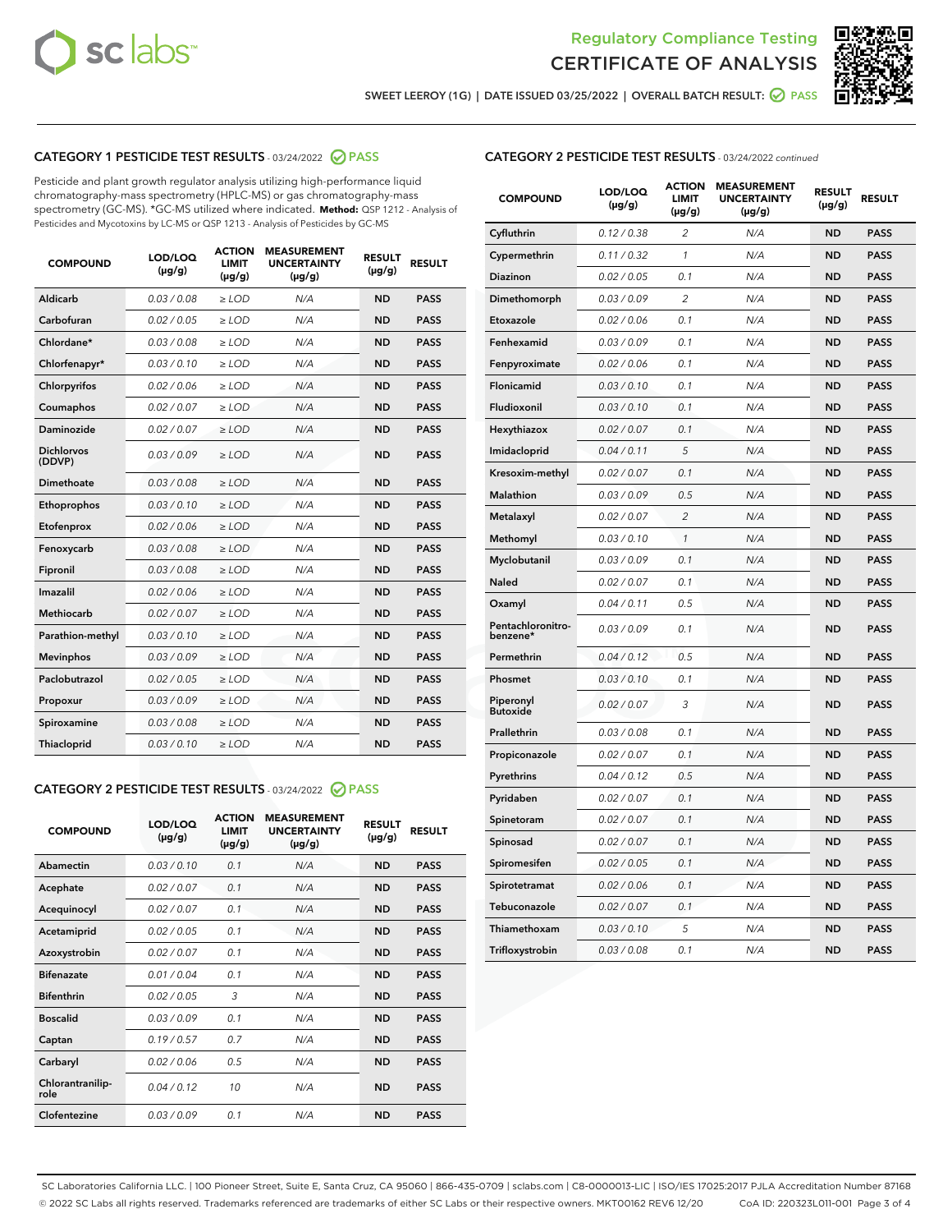



SWEET LEEROY (1G) | DATE ISSUED 03/25/2022 | OVERALL BATCH RESULT:  $\bigotimes$  PASS

# CATEGORY 1 PESTICIDE TEST RESULTS - 03/24/2022 2 PASS

Pesticide and plant growth regulator analysis utilizing high-performance liquid chromatography-mass spectrometry (HPLC-MS) or gas chromatography-mass spectrometry (GC-MS). \*GC-MS utilized where indicated. **Method:** QSP 1212 - Analysis of Pesticides and Mycotoxins by LC-MS or QSP 1213 - Analysis of Pesticides by GC-MS

| <b>COMPOUND</b>             | LOD/LOQ<br>$(\mu g/g)$ | <b>ACTION</b><br>LIMIT<br>$(\mu g/g)$ | <b>MEASUREMENT</b><br><b>UNCERTAINTY</b><br>$(\mu g/g)$ | <b>RESULT</b><br>$(\mu g/g)$ | <b>RESULT</b> |
|-----------------------------|------------------------|---------------------------------------|---------------------------------------------------------|------------------------------|---------------|
| Aldicarb                    | 0.03 / 0.08            | $\ge$ LOD                             | N/A                                                     | <b>ND</b>                    | <b>PASS</b>   |
| Carbofuran                  | 0.02 / 0.05            | $\ge$ LOD                             | N/A                                                     | <b>ND</b>                    | <b>PASS</b>   |
| Chlordane*                  | 0.03 / 0.08            | $\geq$ LOD                            | N/A                                                     | <b>ND</b>                    | <b>PASS</b>   |
| Chlorfenapyr*               | 0.03/0.10              | $\ge$ LOD                             | N/A                                                     | <b>ND</b>                    | <b>PASS</b>   |
| Chlorpyrifos                | 0.02/0.06              | $\ge$ LOD                             | N/A                                                     | <b>ND</b>                    | <b>PASS</b>   |
| Coumaphos                   | 0.02 / 0.07            | $\geq$ LOD                            | N/A                                                     | <b>ND</b>                    | <b>PASS</b>   |
| Daminozide                  | 0.02 / 0.07            | $>$ LOD                               | N/A                                                     | <b>ND</b>                    | <b>PASS</b>   |
| <b>Dichlorvos</b><br>(DDVP) | 0.03/0.09              | $\geq$ LOD                            | N/A                                                     | <b>ND</b>                    | <b>PASS</b>   |
| Dimethoate                  | 0.03/0.08              | $>$ LOD                               | N/A                                                     | <b>ND</b>                    | <b>PASS</b>   |
| Ethoprophos                 | 0.03/0.10              | $\ge$ LOD                             | N/A                                                     | <b>ND</b>                    | <b>PASS</b>   |
| Etofenprox                  | 0.02 / 0.06            | > LOD                                 | N/A                                                     | <b>ND</b>                    | <b>PASS</b>   |
| Fenoxycarb                  | 0.03/0.08              | $>$ LOD                               | N/A                                                     | <b>ND</b>                    | <b>PASS</b>   |
| Fipronil                    | 0.03 / 0.08            | $\geq$ LOD                            | N/A                                                     | <b>ND</b>                    | <b>PASS</b>   |
| Imazalil                    | 0.02 / 0.06            | $>$ LOD                               | N/A                                                     | <b>ND</b>                    | <b>PASS</b>   |
| <b>Methiocarb</b>           | 0.02 / 0.07            | $\ge$ LOD                             | N/A                                                     | <b>ND</b>                    | <b>PASS</b>   |
| Parathion-methyl            | 0.03/0.10              | > LOD                                 | N/A                                                     | <b>ND</b>                    | <b>PASS</b>   |
| <b>Mevinphos</b>            | 0.03/0.09              | $\geq$ LOD                            | N/A                                                     | <b>ND</b>                    | <b>PASS</b>   |
| Paclobutrazol               | 0.02 / 0.05            | $\ge$ LOD                             | N/A                                                     | <b>ND</b>                    | <b>PASS</b>   |
| Propoxur                    | 0.03/0.09              | $\geq$ LOD                            | N/A                                                     | <b>ND</b>                    | <b>PASS</b>   |
| Spiroxamine                 | 0.03 / 0.08            | $\ge$ LOD                             | N/A                                                     | <b>ND</b>                    | <b>PASS</b>   |
| Thiacloprid                 | 0.03/0.10              | $>$ LOD                               | N/A                                                     | <b>ND</b>                    | <b>PASS</b>   |

# CATEGORY 2 PESTICIDE TEST RESULTS - 03/24/2022 2 PASS

| <b>COMPOUND</b>          | LOD/LOQ<br>$(\mu g/g)$ | <b>ACTION</b><br><b>LIMIT</b><br>$(\mu g/g)$ | <b>MEASUREMENT</b><br><b>UNCERTAINTY</b><br>$(\mu g/g)$ | <b>RESULT</b><br>$(\mu g/g)$ | <b>RESULT</b> |  |
|--------------------------|------------------------|----------------------------------------------|---------------------------------------------------------|------------------------------|---------------|--|
| Abamectin                | 0.03/0.10              | 0.1                                          | N/A                                                     | <b>ND</b>                    | <b>PASS</b>   |  |
| Acephate                 | 0.02 / 0.07            | 0.1                                          | N/A                                                     | <b>ND</b>                    | <b>PASS</b>   |  |
| Acequinocyl              | 0.02 / 0.07            | 0.1                                          | N/A                                                     | <b>ND</b>                    | <b>PASS</b>   |  |
| Acetamiprid              | 0.02 / 0.05            | 0.1                                          | N/A                                                     | <b>ND</b>                    | <b>PASS</b>   |  |
| Azoxystrobin             | 0.02/0.07              | 0.1                                          | N/A                                                     | <b>ND</b>                    | <b>PASS</b>   |  |
| <b>Bifenazate</b>        | 0.01/0.04              | 0.1                                          | N/A                                                     | <b>ND</b>                    | <b>PASS</b>   |  |
| <b>Bifenthrin</b>        | 0.02 / 0.05            | 3                                            | N/A                                                     | <b>ND</b>                    | <b>PASS</b>   |  |
| <b>Boscalid</b>          | 0.03/0.09              | 0.1                                          | N/A                                                     | <b>ND</b>                    | <b>PASS</b>   |  |
| Captan                   | 0.19/0.57              | 0.7                                          | N/A                                                     | <b>ND</b>                    | <b>PASS</b>   |  |
| Carbaryl                 | 0.02/0.06              | 0.5                                          | N/A                                                     | <b>ND</b>                    | <b>PASS</b>   |  |
| Chlorantranilip-<br>role | 0.04/0.12              | 10                                           | N/A                                                     | <b>ND</b>                    | <b>PASS</b>   |  |
| Clofentezine             | 0.03/0.09              | 0.1                                          | N/A                                                     | <b>ND</b>                    | <b>PASS</b>   |  |

# CATEGORY 2 PESTICIDE TEST RESULTS - 03/24/2022 continued

| <b>COMPOUND</b>               | LOD/LOQ<br>(µg/g) | <b>ACTION</b><br>LIMIT<br>(µg/g) | <b>MEASUREMENT</b><br><b>UNCERTAINTY</b><br>(µg/g) | <b>RESULT</b><br>$(\mu g/g)$ | <b>RESULT</b> |
|-------------------------------|-------------------|----------------------------------|----------------------------------------------------|------------------------------|---------------|
| Cyfluthrin                    | 0.12 / 0.38       | $\overline{2}$                   | N/A                                                | <b>ND</b>                    | <b>PASS</b>   |
| Cypermethrin                  | 0.11 / 0.32       | $\mathbf{1}$                     | N/A                                                | <b>ND</b>                    | <b>PASS</b>   |
| Diazinon                      | 0.02 / 0.05       | 0.1                              | N/A                                                | <b>ND</b>                    | <b>PASS</b>   |
| Dimethomorph                  | 0.03 / 0.09       | $\overline{\mathcal{L}}$         | N/A                                                | <b>ND</b>                    | <b>PASS</b>   |
| Etoxazole                     | 0.02 / 0.06       | 0.1                              | N/A                                                | <b>ND</b>                    | <b>PASS</b>   |
| Fenhexamid                    | 0.03 / 0.09       | 0.1                              | N/A                                                | <b>ND</b>                    | <b>PASS</b>   |
| Fenpyroximate                 | 0.02 / 0.06       | 0.1                              | N/A                                                | <b>ND</b>                    | <b>PASS</b>   |
| Flonicamid                    | 0.03 / 0.10       | 0.1                              | N/A                                                | <b>ND</b>                    | <b>PASS</b>   |
| Fludioxonil                   | 0.03 / 0.10       | 0.1                              | N/A                                                | <b>ND</b>                    | <b>PASS</b>   |
| Hexythiazox                   | 0.02 / 0.07       | 0.1                              | N/A                                                | <b>ND</b>                    | <b>PASS</b>   |
| Imidacloprid                  | 0.04 / 0.11       | 5                                | N/A                                                | <b>ND</b>                    | <b>PASS</b>   |
| Kresoxim-methyl               | 0.02 / 0.07       | 0.1                              | N/A                                                | <b>ND</b>                    | <b>PASS</b>   |
| Malathion                     | 0.03 / 0.09       | 0.5                              | N/A                                                | <b>ND</b>                    | <b>PASS</b>   |
| Metalaxyl                     | 0.02 / 0.07       | $\overline{c}$                   | N/A                                                | ND                           | <b>PASS</b>   |
| Methomyl                      | 0.03 / 0.10       | 1                                | N/A                                                | <b>ND</b>                    | <b>PASS</b>   |
| Myclobutanil                  | 0.03 / 0.09       | 0.1                              | N/A                                                | <b>ND</b>                    | <b>PASS</b>   |
| Naled                         | 0.02 / 0.07       | 0.1                              | N/A                                                | <b>ND</b>                    | <b>PASS</b>   |
| Oxamyl                        | 0.04 / 0.11       | 0.5                              | N/A                                                | <b>ND</b>                    | <b>PASS</b>   |
| Pentachloronitro-<br>benzene* | 0.03 / 0.09       | 0.1                              | N/A                                                | ND                           | <b>PASS</b>   |
| Permethrin                    | 0.04 / 0.12       | 0.5                              | N/A                                                | <b>ND</b>                    | <b>PASS</b>   |
| Phosmet                       | 0.03 / 0.10       | 0.1                              | N/A                                                | ND                           | <b>PASS</b>   |
| Piperonyl<br><b>Butoxide</b>  | 0.02 / 0.07       | 3                                | N/A                                                | <b>ND</b>                    | <b>PASS</b>   |
| Prallethrin                   | 0.03 / 0.08       | 0.1                              | N/A                                                | <b>ND</b>                    | <b>PASS</b>   |
| Propiconazole                 | 0.02 / 0.07       | 0.1                              | N/A                                                | <b>ND</b>                    | <b>PASS</b>   |
| Pyrethrins                    | 0.04 / 0.12       | 0.5                              | N/A                                                | <b>ND</b>                    | <b>PASS</b>   |
| Pyridaben                     | 0.02 / 0.07       | 0.1                              | N/A                                                | <b>ND</b>                    | <b>PASS</b>   |
| Spinetoram                    | 0.02 / 0.07       | 0.1                              | N/A                                                | <b>ND</b>                    | PASS          |
| Spinosad                      | 0.02 / 0.07       | 0.1                              | N/A                                                | <b>ND</b>                    | PASS          |
| Spiromesifen                  | 0.02 / 0.05       | 0.1                              | N/A                                                | <b>ND</b>                    | <b>PASS</b>   |
| Spirotetramat                 | 0.02 / 0.06       | 0.1                              | N/A                                                | <b>ND</b>                    | <b>PASS</b>   |
| Tebuconazole                  | 0.02 / 0.07       | 0.1                              | N/A                                                | <b>ND</b>                    | <b>PASS</b>   |
| Thiamethoxam                  | 0.03 / 0.10       | 5                                | N/A                                                | <b>ND</b>                    | <b>PASS</b>   |
| Trifloxystrobin               | 0.03 / 0.08       | 0.1                              | N/A                                                | <b>ND</b>                    | <b>PASS</b>   |

SC Laboratories California LLC. | 100 Pioneer Street, Suite E, Santa Cruz, CA 95060 | 866-435-0709 | sclabs.com | C8-0000013-LIC | ISO/IES 17025:2017 PJLA Accreditation Number 87168 © 2022 SC Labs all rights reserved. Trademarks referenced are trademarks of either SC Labs or their respective owners. MKT00162 REV6 12/20 CoA ID: 220323L011-001 Page 3 of 4